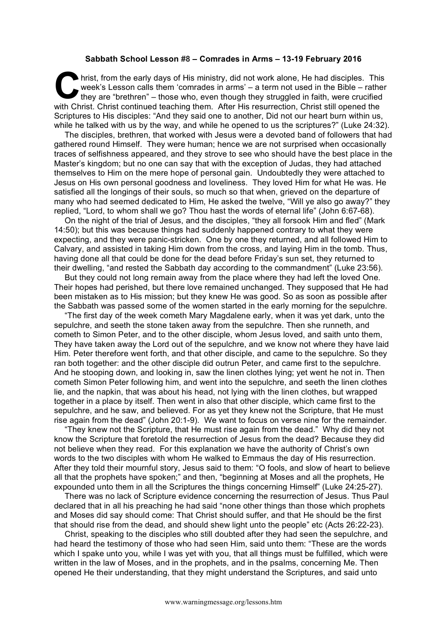## **Sabbath School Lesson #8 – Comrades in Arms – 13-19 February 2016**

hrist, from the early days of His ministry, did not work alone, He had disciples. This week's Lesson calls them 'comrades in arms' – a term not used in the Bible – rather they are "brethren" – those who, even though they struggled in faith, were crucified with Christ. Christ continued teaching them. After His resurrection, Christ still opened the Scriptures to His disciples: "And they said one to another, Did not our heart burn within us, while he talked with us by the way, and while he opened to us the scriptures?" (Luke 24:32). **C** hris

The disciples, brethren, that worked with Jesus were a devoted band of followers that had gathered round Himself. They were human; hence we are not surprised when occasionally traces of selfishness appeared, and they strove to see who should have the best place in the Master's kingdom; but no one can say that with the exception of Judas, they had attached themselves to Him on the mere hope of personal gain. Undoubtedly they were attached to Jesus on His own personal goodness and loveliness. They loved Him for what He was. He satisfied all the longings of their souls, so much so that when, grieved on the departure of many who had seemed dedicated to Him, He asked the twelve, "Will ye also go away?" they replied, "Lord, to whom shall we go? Thou hast the words of eternal life" (John 6:67-68).

On the night of the trial of Jesus, and the disciples, "they all forsook Him and fled" (Mark 14:50); but this was because things had suddenly happened contrary to what they were expecting, and they were panic-stricken. One by one they returned, and all followed Him to Calvary, and assisted in taking Him down from the cross, and laying Him in the tomb. Thus, having done all that could be done for the dead before Friday's sun set, they returned to their dwelling, "and rested the Sabbath day according to the commandment" (Luke 23:56).

But they could not long remain away from the place where they had left the loved One. Their hopes had perished, but there love remained unchanged. They supposed that He had been mistaken as to His mission; but they knew He was good. So as soon as possible after the Sabbath was passed some of the women started in the early morning for the sepulchre.

"The first day of the week cometh Mary Magdalene early, when it was yet dark, unto the sepulchre, and seeth the stone taken away from the sepulchre. Then she runneth, and cometh to Simon Peter, and to the other disciple, whom Jesus loved, and saith unto them, They have taken away the Lord out of the sepulchre, and we know not where they have laid Him. Peter therefore went forth, and that other disciple, and came to the sepulchre. So they ran both together: and the other disciple did outrun Peter, and came first to the sepulchre. And he stooping down, and looking in, saw the linen clothes lying; yet went he not in. Then cometh Simon Peter following him, and went into the sepulchre, and seeth the linen clothes lie, and the napkin, that was about his head, not lying with the linen clothes, but wrapped together in a place by itself. Then went in also that other disciple, which came first to the sepulchre, and he saw, and believed. For as yet they knew not the Scripture, that He must rise again from the dead" (John 20:1-9). We want to focus on verse nine for the remainder.

"They knew not the Scripture, that He must rise again from the dead." Why did they not know the Scripture that foretold the resurrection of Jesus from the dead? Because they did not believe when they read. For this explanation we have the authority of Christ's own words to the two disciples with whom He walked to Emmaus the day of His resurrection. After they told their mournful story, Jesus said to them: "O fools, and slow of heart to believe all that the prophets have spoken;" and then, "beginning at Moses and all the prophets, He expounded unto them in all the Scriptures the things concerning Himself" (Luke 24:25-27).

There was no lack of Scripture evidence concerning the resurrection of Jesus. Thus Paul declared that in all his preaching he had said "none other things than those which prophets and Moses did say should come: That Christ should suffer, and that He should be the first that should rise from the dead, and should shew light unto the people" etc (Acts 26:22-23).

Christ, speaking to the disciples who still doubted after they had seen the sepulchre, and had heard the testimony of those who had seen Him, said unto them: "These are the words which I spake unto you, while I was yet with you, that all things must be fulfilled, which were written in the law of Moses, and in the prophets, and in the psalms, concerning Me. Then opened He their understanding, that they might understand the Scriptures, and said unto